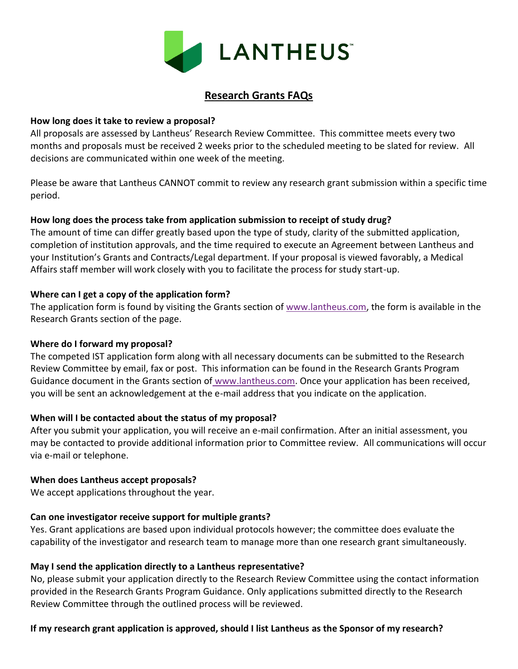

# **Research Grants FAQs**

### **How long does it take to review a proposal?**

All proposals are assessed by Lantheus' Research Review Committee. This committee meets every two months and proposals must be received 2 weeks prior to the scheduled meeting to be slated for review. All decisions are communicated within one week of the meeting.

Please be aware that Lantheus CANNOT commit to review any research grant submission within a specific time period.

### **How long does the process take from application submission to receipt of study drug?**

The amount of time can differ greatly based upon the type of study, clarity of the submitted application, completion of institution approvals, and the time required to execute an Agreement between Lantheus and your Institution's Grants and Contracts/Legal department. If your proposal is viewed favorably, a Medical Affairs staff member will work closely with you to facilitate the process for study start-up.

### **Where can I get a copy of the application form?**

The application form is found by visiting the Grants section of [www.lantheus.com,](http://www.lantheus.com/) the form is available in the Research Grants section of the page.

# **Where do I forward my proposal?**

The competed IST application form along with all necessary documents can be submitted to the Research Review Committee by email, fax or post. This information can be found in the Research Grants Program Guidance document in the Grants section of [www.lantheus.com.](file://///lantheus.local/ns1/data03/shared/CorpComm%20InvRel/CORPORATE%20COMMUNICATIONS/Website/Website%202014/Content/About%20Us/Grants/www.lantheus.com) Once your application has been received, you will be sent an acknowledgement at the e-mail address that you indicate on the application.

# **When will I be contacted about the status of my proposal?**

After you submit your application, you will receive an e-mail confirmation. After an initial assessment, you may be contacted to provide additional information prior to Committee review. All communications will occur via e-mail or telephone.

# **When does Lantheus accept proposals?**

We accept applications throughout the year.

# **Can one investigator receive support for multiple grants?**

Yes. Grant applications are based upon individual protocols however; the committee does evaluate the capability of the investigator and research team to manage more than one research grant simultaneously.

#### **May I send the application directly to a Lantheus representative?**

No, please submit your application directly to the Research Review Committee using the contact information provided in the Research Grants Program Guidance. Only applications submitted directly to the Research Review Committee through the outlined process will be reviewed.

#### **If my research grant application is approved, should I list Lantheus as the Sponsor of my research?**